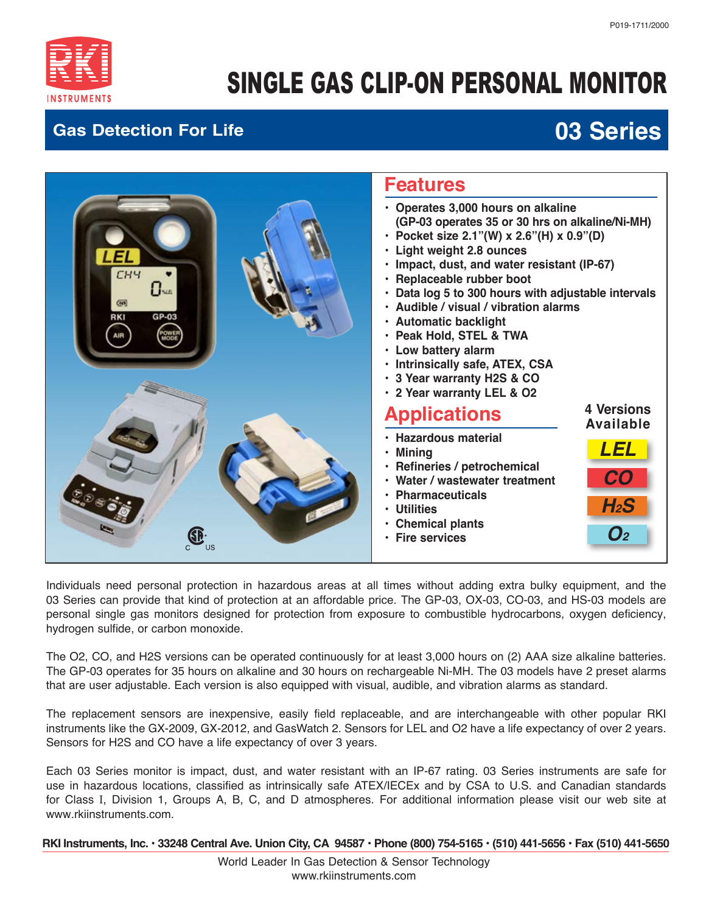

# SINGLE GAS CLIP-ON PERSONAL MONITOR

#### **Gas Detection For Life**

## **03 Series**



Individuals need personal protection in hazardous areas at all times without adding extra bulky equipment, and the 03 Series can provide that kind of protection at an affordable price. The GP-03, OX-03, CO-03, and HS-03 models are personal single gas monitors designed for protection from exposure to combustible hydrocarbons, oxygen deficiency, hydrogen sulfide, or carbon monoxide.

The O2, CO, and H2S versions can be operated continuously for at least 3,000 hours on (2) AAA size alkaline batteries. The GP-03 operates for 35 hours on alkaline and 30 hours on rechargeable Ni-MH. The 03 models have 2 preset alarms that are user adjustable. Each version is also equipped with visual, audible, and vibration alarms as standard.

The replacement sensors are inexpensive, easily field replaceable, and are interchangeable with other popular RKI instruments like the GX-2009, GX-2012, and GasWatch 2. Sensors for LEL and O2 have a life expectancy of over 2 years. Sensors for H2S and CO have a life expectancy of over 3 years.

Each 03 Series monitor is impact, dust, and water resistant with an IP-67 rating. 03 Series instruments are safe for use in hazardous locations, classified as intrinsically safe ATEX/IECEx and by CSA to U.S. and Canadian standards for Class I, Division 1, Groups A, B, C, and D atmospheres. For additional information please visit our web site at www.rkiinstruments.com.

 **RKI Instruments, Inc. • 33248 Central Ave. Union City, CA 94587 • Phone (800) 754-5165 • (510) 441-5656 • Fax (510) 441-5650**